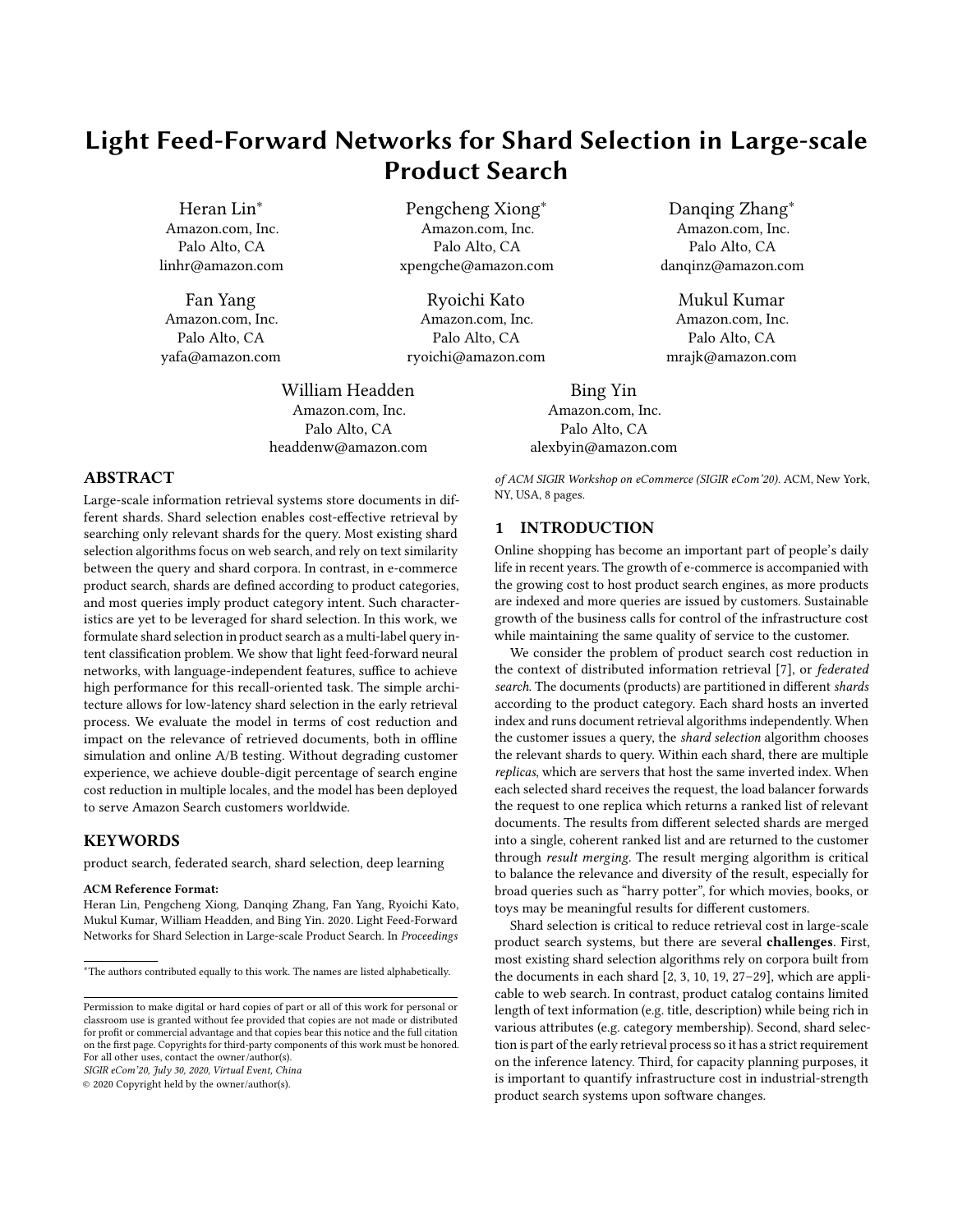# Light Feed-Forward Networks for Shard Selection in Large-scale Product Search

Heran Lin∗ Amazon.com, Inc. Palo Alto, CA linhr@amazon.com

Fan Yang Amazon.com, Inc. Palo Alto, CA yafa@amazon.com

Pengcheng Xiong∗ Amazon.com, Inc. Palo Alto, CA xpengche@amazon.com

Ryoichi Kato Amazon.com, Inc. Palo Alto, CA ryoichi@amazon.com

Danqing Zhang∗ Amazon.com, Inc. Palo Alto, CA danqinz@amazon.com

Mukul Kumar Amazon.com, Inc. Palo Alto, CA mrajk@amazon.com

William Headden Amazon.com, Inc. Palo Alto, CA headdenw@amazon.com

# ABSTRACT

Large-scale information retrieval systems store documents in different shards. Shard selection enables cost-effective retrieval by searching only relevant shards for the query. Most existing shard selection algorithms focus on web search, and rely on text similarity between the query and shard corpora. In contrast, in e-commerce product search, shards are defined according to product categories, and most queries imply product category intent. Such characteristics are yet to be leveraged for shard selection. In this work, we formulate shard selection in product search as a multi-label query intent classification problem. We show that light feed-forward neural networks, with language-independent features, suffice to achieve high performance for this recall-oriented task. The simple architecture allows for low-latency shard selection in the early retrieval process. We evaluate the model in terms of cost reduction and impact on the relevance of retrieved documents, both in offline simulation and online A/B testing. Without degrading customer experience, we achieve double-digit percentage of search engine cost reduction in multiple locales, and the model has been deployed to serve Amazon Search customers worldwide.

#### KEYWORDS

product search, federated search, shard selection, deep learning

### ACM Reference Format:

Heran Lin, Pengcheng Xiong, Danqing Zhang, Fan Yang, Ryoichi Kato, Mukul Kumar, William Headden, and Bing Yin. 2020. Light Feed-Forward Networks for Shard Selection in Large-scale Product Search. In Proceedings

SIGIR eCom'20, July 30, 2020, Virtual Event, China

© 2020 Copyright held by the owner/author(s).

of ACM SIGIR Workshop on eCommerce (SIGIR eCom'20). ACM, New York, NY, USA, [8](#page-7-0) pages.

# 1 INTRODUCTION

Bing Yin Amazon.com, Inc. Palo Alto, CA alexbyin@amazon.com

Online shopping has become an important part of people's daily life in recent years. The growth of e-commerce is accompanied with the growing cost to host product search engines, as more products are indexed and more queries are issued by customers. Sustainable growth of the business calls for control of the infrastructure cost while maintaining the same quality of service to the customer.

We consider the problem of product search cost reduction in the context of distributed information retrieval [\[7\]](#page-7-1), or federated search. The documents (products) are partitioned in different shards according to the product category. Each shard hosts an inverted index and runs document retrieval algorithms independently. When the customer issues a query, the shard selection algorithm chooses the relevant shards to query. Within each shard, there are multiple replicas, which are servers that host the same inverted index. When each selected shard receives the request, the load balancer forwards the request to one replica which returns a ranked list of relevant documents. The results from different selected shards are merged into a single, coherent ranked list and are returned to the customer through result merging. The result merging algorithm is critical to balance the relevance and diversity of the result, especially for broad queries such as "harry potter", for which movies, books, or toys may be meaningful results for different customers.

Shard selection is critical to reduce retrieval cost in large-scale product search systems, but there are several challenges. First, most existing shard selection algorithms rely on corpora built from the documents in each shard [\[2,](#page-7-2) [3,](#page-7-3) [10,](#page-7-4) [19,](#page-7-5) [27](#page-7-6)[–29\]](#page-7-7), which are applicable to web search. In contrast, product catalog contains limited length of text information (e.g. title, description) while being rich in various attributes (e.g. category membership). Second, shard selection is part of the early retrieval process so it has a strict requirement on the inference latency. Third, for capacity planning purposes, it is important to quantify infrastructure cost in industrial-strength product search systems upon software changes.

<sup>∗</sup>The authors contributed equally to this work. The names are listed alphabetically.

Permission to make digital or hard copies of part or all of this work for personal or classroom use is granted without fee provided that copies are not made or distributed for profit or commercial advantage and that copies bear this notice and the full citation on the first page. Copyrights for third-party components of this work must be honored. For all other uses, contact the owner/author(s).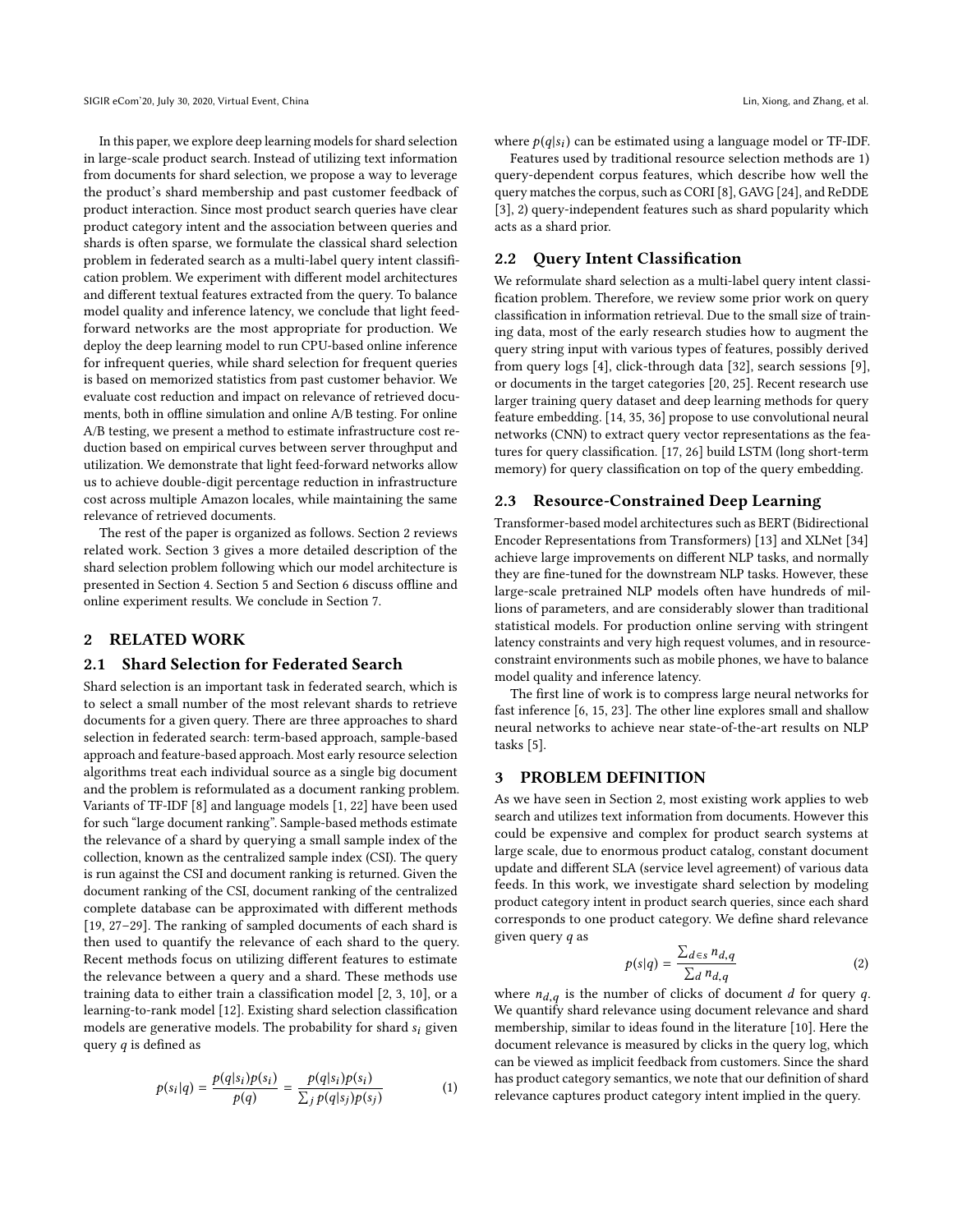In this paper, we explore deep learning models for shard selection in large-scale product search. Instead of utilizing text information from documents for shard selection, we propose a way to leverage the product's shard membership and past customer feedback of product interaction. Since most product search queries have clear product category intent and the association between queries and shards is often sparse, we formulate the classical shard selection problem in federated search as a multi-label query intent classification problem. We experiment with different model architectures and different textual features extracted from the query. To balance model quality and inference latency, we conclude that light feedforward networks are the most appropriate for production. We deploy the deep learning model to run CPU-based online inference for infrequent queries, while shard selection for frequent queries is based on memorized statistics from past customer behavior. We evaluate cost reduction and impact on relevance of retrieved documents, both in offline simulation and online A/B testing. For online A/B testing, we present a method to estimate infrastructure cost reduction based on empirical curves between server throughput and utilization. We demonstrate that light feed-forward networks allow us to achieve double-digit percentage reduction in infrastructure cost across multiple Amazon locales, while maintaining the same relevance of retrieved documents.

The rest of the paper is organized as follows. [Section 2](#page-1-0) reviews related work. [Section 3](#page-1-1) gives a more detailed description of the shard selection problem following which our model architecture is presented in [Section 4.](#page-2-0) [Section 5](#page-2-1) and [Section 6](#page-5-0) discuss offline and online experiment results. We conclude in [Section 7.](#page-7-8)

# <span id="page-1-0"></span>2 RELATED WORK

#### 2.1 Shard Selection for Federated Search

Shard selection is an important task in federated search, which is to select a small number of the most relevant shards to retrieve documents for a given query. There are three approaches to shard selection in federated search: term-based approach, sample-based approach and feature-based approach. Most early resource selection algorithms treat each individual source as a single big document and the problem is reformulated as a document ranking problem. Variants of TF-IDF [\[8\]](#page-7-9) and language models [\[1,](#page-7-10) [22\]](#page-7-11) have been used for such "large document ranking". Sample-based methods estimate the relevance of a shard by querying a small sample index of the collection, known as the centralized sample index (CSI). The query is run against the CSI and document ranking is returned. Given the document ranking of the CSI, document ranking of the centralized complete database can be approximated with different methods [\[19,](#page-7-5) [27](#page-7-6)[–29\]](#page-7-7). The ranking of sampled documents of each shard is then used to quantify the relevance of each shard to the query. Recent methods focus on utilizing different features to estimate the relevance between a query and a shard. These methods use training data to either train a classification model [\[2,](#page-7-2) [3,](#page-7-3) [10\]](#page-7-4), or a learning-to-rank model [\[12\]](#page-7-12). Existing shard selection classification models are generative models. The probability for shard  $s_i$  given query  $q$  is defined as

$$
p(s_i|q) = \frac{p(q|s_i)p(s_i)}{p(q)} = \frac{p(q|s_i)p(s_i)}{\sum_j p(q|s_j)p(s_j)}
$$
(1)

where  $p(q|s_i)$  can be estimated using a language model or TF-IDF.<br>Features used by traditional resource selection methods are 1).

Features used by traditional resource selection methods are 1) query-dependent corpus features, which describe how well the query matches the corpus, such as CORI [\[8\]](#page-7-9), GAVG [\[24\]](#page-7-13), and ReDDE [\[3\]](#page-7-3), 2) query-independent features such as shard popularity which acts as a shard prior.

# 2.2 Query Intent Classification

We reformulate shard selection as a multi-label query intent classification problem. Therefore, we review some prior work on query classification in information retrieval. Due to the small size of training data, most of the early research studies how to augment the query string input with various types of features, possibly derived from query logs [\[4\]](#page-7-14), click-through data [\[32\]](#page-7-15), search sessions [\[9\]](#page-7-16), or documents in the target categories [\[20,](#page-7-17) [25\]](#page-7-18). Recent research use larger training query dataset and deep learning methods for query feature embedding. [\[14,](#page-7-19) [35,](#page-7-20) [36\]](#page-7-21) propose to use convolutional neural networks (CNN) to extract query vector representations as the features for query classification. [\[17,](#page-7-22) [26\]](#page-7-23) build LSTM (long short-term memory) for query classification on top of the query embedding.

#### 2.3 Resource-Constrained Deep Learning

Transformer-based model architectures such as BERT (Bidirectional Encoder Representations from Transformers) [\[13\]](#page-7-24) and XLNet [\[34\]](#page-7-25) achieve large improvements on different NLP tasks, and normally they are fine-tuned for the downstream NLP tasks. However, these large-scale pretrained NLP models often have hundreds of millions of parameters, and are considerably slower than traditional statistical models. For production online serving with stringent latency constraints and very high request volumes, and in resourceconstraint environments such as mobile phones, we have to balance model quality and inference latency.

The first line of work is to compress large neural networks for fast inference [\[6,](#page-7-26) [15,](#page-7-27) [23\]](#page-7-28). The other line explores small and shallow neural networks to achieve near state-of-the-art results on NLP tasks [\[5\]](#page-7-29).

### <span id="page-1-1"></span>3 PROBLEM DEFINITION

As we have seen in [Section 2,](#page-1-0) most existing work applies to web search and utilizes text information from documents. However this could be expensive and complex for product search systems at large scale, due to enormous product catalog, constant document update and different SLA (service level agreement) of various data feeds. In this work, we investigate shard selection by modeling product category intent in product search queries, since each shard corresponds to one product category. We define shard relevance given query q as

$$
p(s|q) = \frac{\sum_{d \in s} n_{d,q}}{\sum_{d} n_{d,q}} \tag{2}
$$

where  $n_{d,q}$  is the number of clicks of document d for query q.<br>We quantify shard relevance using document relevance and shard We quantify shard relevance using document relevance and shard membership, similar to ideas found in the literature [\[10\]](#page-7-4). Here the document relevance is measured by clicks in the query log, which can be viewed as implicit feedback from customers. Since the shard has product category semantics, we note that our definition of shard relevance captures product category intent implied in the query.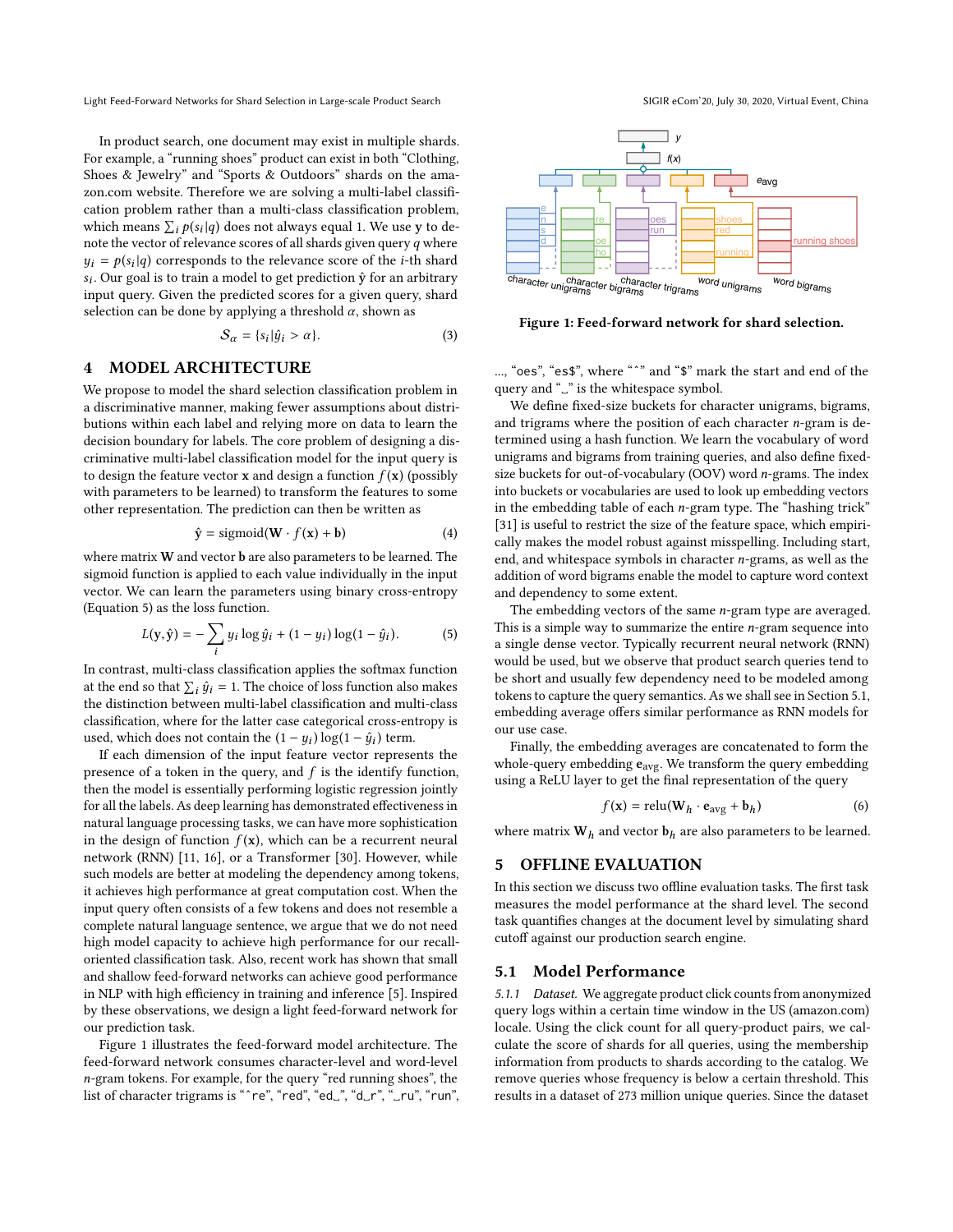Light Feed-Forward Networks for Shard Selection in Large-scale Product Search SIGIR eCom'20, July 30, 2020, Virtual Event, China

In product search, one document may exist in multiple shards. For example, a "running shoes" product can exist in both "Clothing, Shoes & Jewelry" and "Sports & Outdoors" shards on the amazon.com website. Therefore we are solving a multi-label classification problem rather than a multi-class classification problem, which means  $\sum_i p(s_i|q)$  does not always equal 1. We use y to de-<br>note the vector of relevance scores of all shards given query a where note the vector of relevance scores of all shards given query  $q$  where  $y_i = p(s_i|q)$  corresponds to the relevance score of the *i*-th shard<br>s. Our goal is to train a model to get prediction  $\hat{y}$  for an arbitrary si input query. Given the predicted scores for a given query, shard  $s_i$ . Our goal is to train a model to get prediction  $\hat{y}$  for an arbitrary selection can be done by applying a threshold  $\alpha$ , shown as

$$
S_{\alpha} = \{s_i | \hat{y}_i > \alpha\}.
$$
 (3)

# <span id="page-2-0"></span>4 MODEL ARCHITECTURE

We propose to model the shard selection classification problem in a discriminative manner, making fewer assumptions about distributions within each label and relying more on data to learn the decision boundary for labels. The core problem of designing a discriminative multi-label classification model for the input query is to design the feature vector **x** and design a function  $f(\mathbf{x})$  (possibly with parameters to be learned) to transform the features to some other representation. The prediction can then be written as

$$
\hat{\mathbf{y}} = \text{sigmoid}(\mathbf{W} \cdot f(\mathbf{x}) + \mathbf{b}) \tag{4}
$$

where matrix W and vector b are also parameters to be learned. The sigmoid function is applied to each value individually in the input vector. We can learn the parameters using binary cross-entropy [\(Equation 5\)](#page-2-2) as the loss function.

<span id="page-2-2"></span>
$$
L(y, \hat{y}) = -\sum_{i} y_i \log \hat{y}_i + (1 - y_i) \log(1 - \hat{y}_i).
$$
 (5)

In contrast, multi-class classification applies the softmax function at the end so that  $\sum_i \hat{y}_i = 1$ . The choice of loss function also makes<br>the distinction between multi-label classification and multi-class the distinction between multi-label classification and multi-class classification, where for the latter case categorical cross-entropy is used, which does not contain the  $(1 - y_i) \log(1 - \hat{y}_i)$  term.<br>If each dimension of the input feature vector represe

If each dimension of the input feature vector represents the presence of a token in the query, and  $f$  is the identify function, then the model is essentially performing logistic regression jointly for all the labels. As deep learning has demonstrated effectiveness in natural language processing tasks, we can have more sophistication in the design of function  $f(\mathbf{x})$ , which can be a recurrent neural network (RNN) [\[11,](#page-7-30) [16\]](#page-7-31), or a Transformer [\[30\]](#page-7-32). However, while such models are better at modeling the dependency among tokens, it achieves high performance at great computation cost. When the input query often consists of a few tokens and does not resemble a complete natural language sentence, we argue that we do not need high model capacity to achieve high performance for our recalloriented classification task. Also, recent work has shown that small and shallow feed-forward networks can achieve good performance in NLP with high efficiency in training and inference [\[5\]](#page-7-29). Inspired by these observations, we design a light feed-forward network for our prediction task.

[Figure 1](#page-2-3) illustrates the feed-forward model architecture. The feed-forward network consumes character-level and word-level n-gram tokens. For example, for the query "red running shoes", the list of character trigrams is "ˆre", "red", "ed␣", "d␣r", "␣ru", "run",



<span id="page-2-3"></span>

Figure 1: Feed-forward network for shard selection.

..., "oes", "es\$", where "ˆ" and "\$" mark the start and end of the query and "␣" is the whitespace symbol.

We define fixed-size buckets for character unigrams, bigrams, and trigrams where the position of each character n-gram is determined using a hash function. We learn the vocabulary of word unigrams and bigrams from training queries, and also define fixedsize buckets for out-of-vocabulary (OOV) word n-grams. The index into buckets or vocabularies are used to look up embedding vectors in the embedding table of each n-gram type. The "hashing trick" [\[31\]](#page-7-33) is useful to restrict the size of the feature space, which empirically makes the model robust against misspelling. Including start, end, and whitespace symbols in character n-grams, as well as the addition of word bigrams enable the model to capture word context and dependency to some extent.

The embedding vectors of the same n-gram type are averaged. This is a simple way to summarize the entire  $n$ -gram sequence into a single dense vector. Typically recurrent neural network (RNN) would be used, but we observe that product search queries tend to be short and usually few dependency need to be modeled among tokens to capture the query semantics. As we shall see in [Section 5.1,](#page-2-4) embedding average offers similar performance as RNN models for our use case.

Finally, the embedding averages are concatenated to form the whole-query embedding  $e_{avg}$ . We transform the query embedding using a ReLU layer to get the final representation of the query

$$
f(\mathbf{x}) = \text{relu}(\mathbf{W}_h \cdot \mathbf{e}_{\text{avg}} + \mathbf{b}_h)
$$
 (6)

where matrix  $W_h$  and vector  $b_h$  are also parameters to be learned.

# <span id="page-2-1"></span>5 OFFLINE EVALUATION

In this section we discuss two offline evaluation tasks. The first task measures the model performance at the shard level. The second task quantifies changes at the document level by simulating shard cutoff against our production search engine.

### <span id="page-2-4"></span>5.1 Model Performance

5.1.1 Dataset. We aggregate product click counts from anonymized query logs within a certain time window in the US (amazon.com) locale. Using the click count for all query-product pairs, we calculate the score of shards for all queries, using the membership information from products to shards according to the catalog. We remove queries whose frequency is below a certain threshold. This results in a dataset of 273 million unique queries. Since the dataset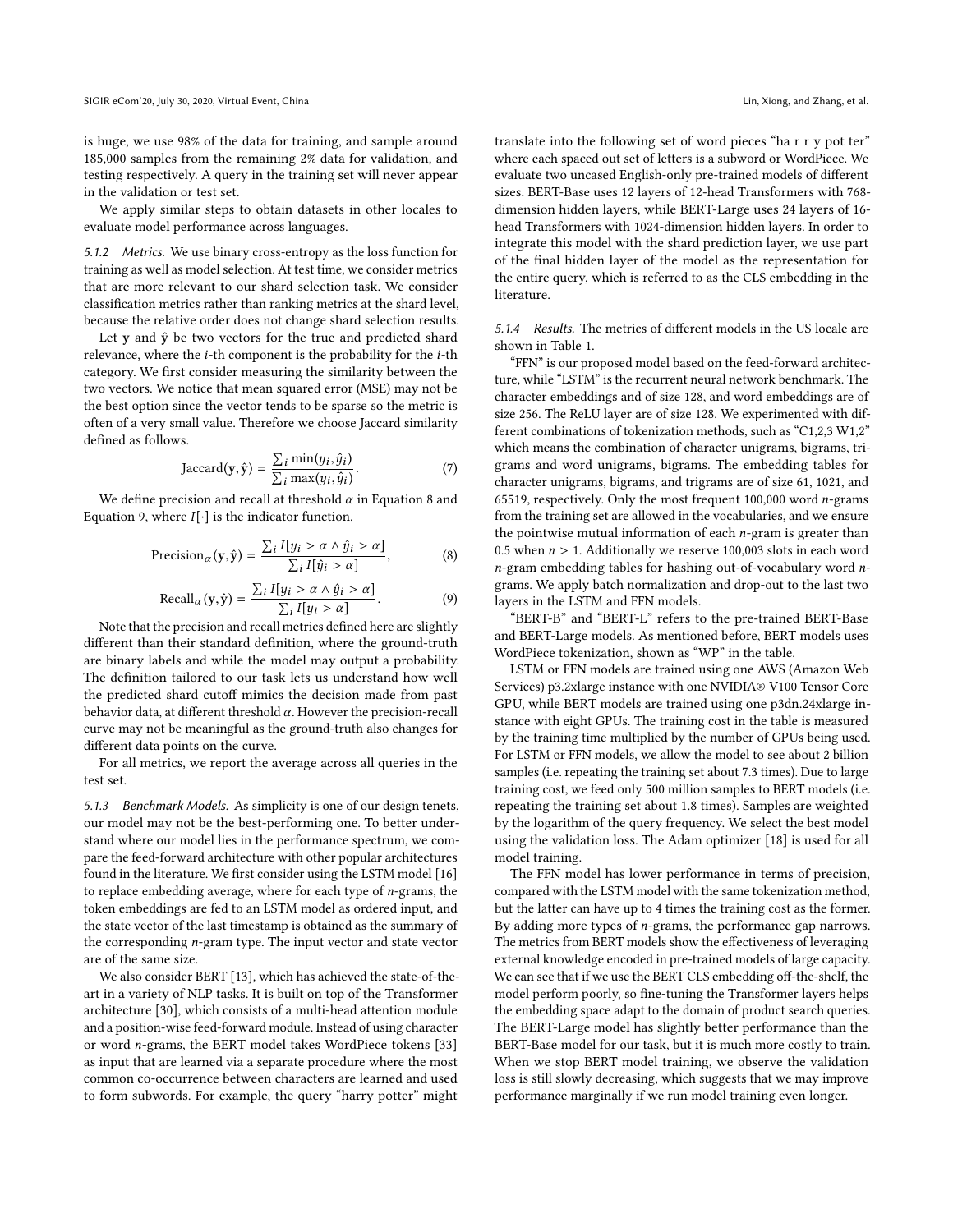is huge, we use 98% of the data for training, and sample around 185,000 samples from the remaining 2% data for validation, and testing respectively. A query in the training set will never appear in the validation or test set.

We apply similar steps to obtain datasets in other locales to evaluate model performance across languages.

5.1.2 Metrics. We use binary cross-entropy as the loss function for training as well as model selection. At test time, we consider metrics that are more relevant to our shard selection task. We consider classification metrics rather than ranking metrics at the shard level, because the relative order does not change shard selection results.

Let  $y$  and  $\hat{y}$  be two vectors for the true and predicted shard relevance, where the i-th component is the probability for the i-th category. We first consider measuring the similarity between the two vectors. We notice that mean squared error (MSE) may not be the best option since the vector tends to be sparse so the metric is often of a very small value. Therefore we choose Jaccard similarity defined as follows.

$$
\text{Jaccard}(\mathbf{y}, \hat{\mathbf{y}}) = \frac{\sum_{i} \min(y_i, \hat{y}_i)}{\sum_{i} \max(y_i, \hat{y}_i)}.
$$
 (7)

We define precision and recall at threshold  $\alpha$  in [Equation 8](#page-3-0) and<br>untion 9 where II lie the indicator function [Equation 9,](#page-3-1) where  $I[\cdot]$  is the indicator function.

<span id="page-3-1"></span><span id="page-3-0"></span>
$$
\text{Precision}_{\alpha}(\mathbf{y}, \hat{\mathbf{y}}) = \frac{\sum_{i} I[y_{i} > \alpha \land \hat{y}_{i} > \alpha]}{\sum_{i} I[\hat{y}_{i} > \alpha]}, \tag{8}
$$

$$
\text{Recall}_{\alpha}(\mathbf{y}, \hat{\mathbf{y}}) = \frac{\sum_{i} I[y_{i} > \alpha \land \hat{y}_{i} > \alpha]}{\sum_{i} I[y_{i} > \alpha]}.
$$
 (9)  
Note that the precision and recall metrics defined here are slightly

different than their standard definition, where the ground-truth are binary labels and while the model may output a probability. The definition tailored to our task lets us understand how well the predicted shard cutoff mimics the decision made from past behavior data, at different threshold  $\alpha$ . However the precision-recall curve may not be meaningful as the ground-truth also changes for different data points on the curve.

For all metrics, we report the average across all queries in the test set.

5.1.3 Benchmark Models. As simplicity is one of our design tenets, our model may not be the best-performing one. To better understand where our model lies in the performance spectrum, we compare the feed-forward architecture with other popular architectures found in the literature. We first consider using the LSTM model [\[16\]](#page-7-31) to replace embedding average, where for each type of n-grams, the token embeddings are fed to an LSTM model as ordered input, and the state vector of the last timestamp is obtained as the summary of the corresponding n-gram type. The input vector and state vector are of the same size.

We also consider BERT [\[13\]](#page-7-24), which has achieved the state-of-theart in a variety of NLP tasks. It is built on top of the Transformer architecture [\[30\]](#page-7-32), which consists of a multi-head attention module and a position-wise feed-forward module. Instead of using character or word n-grams, the BERT model takes WordPiece tokens [\[33\]](#page-7-34) as input that are learned via a separate procedure where the most common co-occurrence between characters are learned and used to form subwords. For example, the query "harry potter" might

translate into the following set of word pieces "ha r r y pot ter" where each spaced out set of letters is a subword or WordPiece. We evaluate two uncased English-only pre-trained models of different sizes. BERT-Base uses 12 layers of 12-head Transformers with 768 dimension hidden layers, while BERT-Large uses 24 layers of 16 head Transformers with 1024-dimension hidden layers. In order to integrate this model with the shard prediction layer, we use part of the final hidden layer of the model as the representation for the entire query, which is referred to as the CLS embedding in the literature.

5.1.4 Results. The metrics of different models in the US locale are shown in [Table 1.](#page-4-0)

"FFN" is our proposed model based on the feed-forward architecture, while "LSTM" is the recurrent neural network benchmark. The character embeddings and of size 128, and word embeddings are of size 256. The ReLU layer are of size 128. We experimented with different combinations of tokenization methods, such as "C1,2,3 W1,2" which means the combination of character unigrams, bigrams, trigrams and word unigrams, bigrams. The embedding tables for character unigrams, bigrams, and trigrams are of size 61, 1021, and 65519, respectively. Only the most frequent 100,000 word n-grams from the training set are allowed in the vocabularies, and we ensure the pointwise mutual information of each  $n$ -gram is greater than 0.5 when  $n > 1$ . Additionally we reserve 100,003 slots in each word n-gram embedding tables for hashing out-of-vocabulary word ngrams. We apply batch normalization and drop-out to the last two layers in the LSTM and FFN models.

"BERT-B" and "BERT-L" refers to the pre-trained BERT-Base and BERT-Large models. As mentioned before, BERT models uses WordPiece tokenization, shown as "WP" in the table.

LSTM or FFN models are trained using one AWS (Amazon Web Services) p3.2xlarge instance with one NVIDIA® V100 Tensor Core GPU, while BERT models are trained using one p3dn.24xlarge instance with eight GPUs. The training cost in the table is measured by the training time multiplied by the number of GPUs being used. For LSTM or FFN models, we allow the model to see about 2 billion samples (i.e. repeating the training set about 7.3 times). Due to large training cost, we feed only 500 million samples to BERT models (i.e. repeating the training set about 1.8 times). Samples are weighted by the logarithm of the query frequency. We select the best model using the validation loss. The Adam optimizer [\[18\]](#page-7-35) is used for all model training.

The FFN model has lower performance in terms of precision, compared with the LSTM model with the same tokenization method, but the latter can have up to 4 times the training cost as the former. By adding more types of n-grams, the performance gap narrows. The metrics from BERT models show the effectiveness of leveraging external knowledge encoded in pre-trained models of large capacity. We can see that if we use the BERT CLS embedding off-the-shelf, the model perform poorly, so fine-tuning the Transformer layers helps the embedding space adapt to the domain of product search queries. The BERT-Large model has slightly better performance than the BERT-Base model for our task, but it is much more costly to train. When we stop BERT model training, we observe the validation loss is still slowly decreasing, which suggests that we may improve performance marginally if we run model training even longer.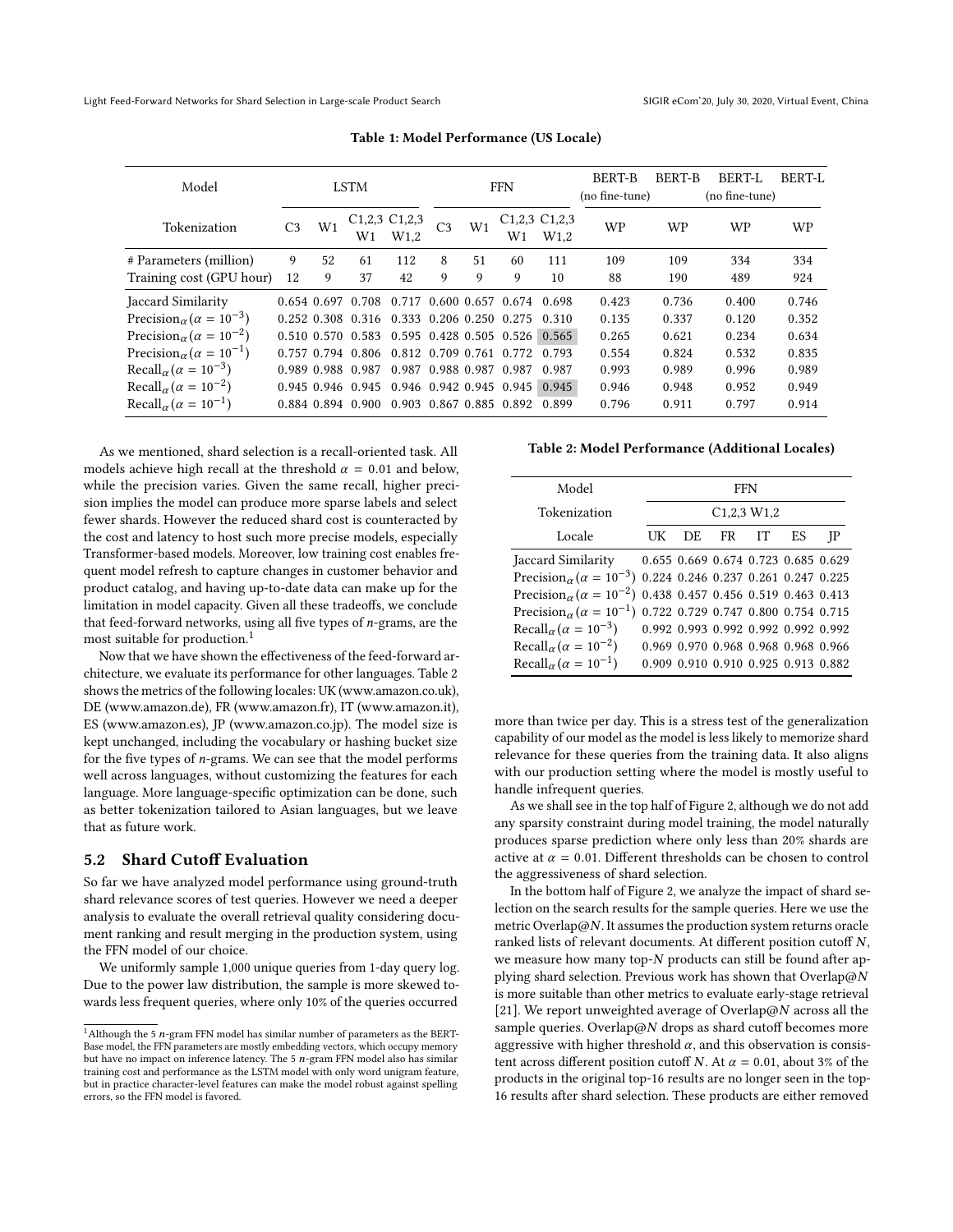<span id="page-4-0"></span>

| <b>LSTM</b><br>Model                                            |                |                | <b>FFN</b>                                    |                         |                |                | <b>BERT-B</b><br>(no fine-tune) | <b>BERT-B</b>                                                   | <b>BERT-L</b><br>(no fine-tune) | BERT-L |           |           |
|-----------------------------------------------------------------|----------------|----------------|-----------------------------------------------|-------------------------|----------------|----------------|---------------------------------|-----------------------------------------------------------------|---------------------------------|--------|-----------|-----------|
| Tokenization                                                    | C <sub>3</sub> | W <sub>1</sub> | C <sub>1</sub> ,2,3 C <sub>1</sub> ,2,3<br>W1 | W1,2                    | C <sub>3</sub> | W <sub>1</sub> | W1                              | C <sub>1</sub> , 2, 3 C <sub>1</sub> , 2, 3<br>W <sub>1.2</sub> | WP                              | WP     | <b>WP</b> | <b>WP</b> |
| # Parameters (million)                                          | 9              | 52             | 61                                            | 112                     | 8              | 51             | 60                              | 111                                                             | 109                             | 109    | 334       | 334       |
| Training cost (GPU hour)                                        | 12             | 9              | 37                                            | 42                      | 9              | 9              | 9                               | 10                                                              | 88                              | 190    | 489       | 924       |
| Jaccard Similarity                                              |                | 0.654 0.697    | 0.708                                         | 0.717                   |                | 0.600 0.657    | 0.674                           | 0.698                                                           | 0.423                           | 0.736  | 0.400     | 0.746     |
| Precision <sub><math>\alpha</math></sub> ( $\alpha = 10^{-3}$ ) |                |                | 0.252 0.308 0.316 0.333 0.206 0.250 0.275     |                         |                |                |                                 | 0.310                                                           | 0.135                           | 0.337  | 0.120     | 0.352     |
| Precision <sub><math>\alpha</math></sub> ( $\alpha = 10^{-2}$ ) |                | 0.510 0.570    | 0.583                                         |                         |                |                | $0.595$ $0.428$ $0.505$ $0.526$ | 0.565                                                           | 0.265                           | 0.621  | 0.234     | 0.634     |
| Precision <sub>a</sub> $(\alpha = 10^{-1})$                     |                |                | 0.757 0.794 0.806                             | 0.812 0.709 0.761 0.772 |                |                |                                 | 0.793                                                           | 0.554                           | 0.824  | 0.532     | 0.835     |
| Recall <sub><math>\alpha</math></sub> ( $\alpha = 10^{-3}$ )    |                |                | 0.989 0.988 0.987                             | 0.987                   |                | 0.988 0.987    | 0.987                           | 0.987                                                           | 0.993                           | 0.989  | 0.996     | 0.989     |
| Recall <sub><math>\alpha</math></sub> ( $\alpha = 10^{-2}$ )    |                |                | 0.945 0.946 0.945                             | 0.946 0.942 0.945 0.945 |                |                |                                 | 0.945                                                           | 0.946                           | 0.948  | 0.952     | 0.949     |
| $\text{Recall}_{\alpha} (\alpha = 10^{-1})$                     |                |                | 0.884 0.894 0.900 0.903 0.867 0.885 0.892     |                         |                |                |                                 | 0.899                                                           | 0.796                           | 0.911  | 0.797     | 0.914     |

Table 1: Model Performance (US Locale)

As we mentioned, shard selection is a recall-oriented task. All models achieve high recall at the threshold  $\alpha = 0.01$  and below, while the precision varies. Given the same recall, higher precision implies the model can produce more sparse labels and select fewer shards. However the reduced shard cost is counteracted by the cost and latency to host such more precise models, especially Transformer-based models. Moreover, low training cost enables frequent model refresh to capture changes in customer behavior and product catalog, and having up-to-date data can make up for the limitation in model capacity. Given all these tradeoffs, we conclude that feed-forward networks, using all five types of n-grams, are the most suitable for production.<sup>[1](#page-4-1)</sup>

Now that we have shown the effectiveness of the feed-forward architecture, we evaluate its performance for other languages. [Table 2](#page-4-2) shows the metrics of the following locales: UK (www.amazon.co.uk), DE (www.amazon.de), FR (www.amazon.fr), IT (www.amazon.it), ES (www.amazon.es), JP (www.amazon.co.jp). The model size is kept unchanged, including the vocabulary or hashing bucket size for the five types of n-grams. We can see that the model performs well across languages, without customizing the features for each language. More language-specific optimization can be done, such as better tokenization tailored to Asian languages, but we leave that as future work.

# <span id="page-4-3"></span>5.2 Shard Cutoff Evaluation

So far we have analyzed model performance using ground-truth shard relevance scores of test queries. However we need a deeper analysis to evaluate the overall retrieval quality considering document ranking and result merging in the production system, using the FFN model of our choice.

We uniformly sample 1,000 unique queries from 1-day query log. Due to the power law distribution, the sample is more skewed towards less frequent queries, where only 10% of the queries occurred

#### <span id="page-4-2"></span>Table 2: Model Performance (Additional Locales)

| Model                                                                             |    | <b>FFN</b>                            |      |    |    |    |  |  |  |  |  |
|-----------------------------------------------------------------------------------|----|---------------------------------------|------|----|----|----|--|--|--|--|--|
| Tokenization                                                                      |    | C <sub>1</sub> ,2,3 W <sub>1</sub> ,2 |      |    |    |    |  |  |  |  |  |
| Locale                                                                            | UK | DE                                    | FR F | IT | ES | ΙP |  |  |  |  |  |
| Jaccard Similarity                                                                |    | 0.655 0.669 0.674 0.723 0.685 0.629   |      |    |    |    |  |  |  |  |  |
| Precision <sub>a</sub> ( $\alpha = 10^{-3}$ ) 0.224 0.246 0.237 0.261 0.247 0.225 |    |                                       |      |    |    |    |  |  |  |  |  |
| Precision <sub>a</sub> ( $\alpha = 10^{-2}$ ) 0.438 0.457 0.456 0.519 0.463 0.413 |    |                                       |      |    |    |    |  |  |  |  |  |
| Precision <sub>a</sub> ( $\alpha = 10^{-1}$ ) 0.722 0.729 0.747 0.800 0.754 0.715 |    |                                       |      |    |    |    |  |  |  |  |  |
| Recall <sub><math>\alpha</math></sub> ( $\alpha$ = 10 <sup>-3</sup> )             |    | 0.992 0.993 0.992 0.992 0.992 0.992   |      |    |    |    |  |  |  |  |  |
| $\text{Recall}_{\alpha} (\alpha = 10^{-2})$                                       |    | 0.969 0.970 0.968 0.968 0.968 0.966   |      |    |    |    |  |  |  |  |  |
| $\text{Recall}_{\alpha} (\alpha = 10^{-1})$                                       |    | 0.909 0.910 0.910 0.925 0.913 0.882   |      |    |    |    |  |  |  |  |  |

more than twice per day. This is a stress test of the generalization capability of our model as the model is less likely to memorize shard relevance for these queries from the training data. It also aligns with our production setting where the model is mostly useful to handle infrequent queries.

As we shall see in the top half of [Figure 2,](#page-5-1) although we do not add any sparsity constraint during model training, the model naturally produces sparse prediction where only less than 20% shards are active at  $\alpha = 0.01$ . Different thresholds can be chosen to control the aggressiveness of shard selection.

In the bottom half of [Figure 2,](#page-5-1) we analyze the impact of shard selection on the search results for the sample queries. Here we use the metric Overlap@N. It assumes the production system returns oracle ranked lists of relevant documents. At different position cutoff N, we measure how many top-N products can still be found after applying shard selection. Previous work has shown that Overlap@N is more suitable than other metrics to evaluate early-stage retrieval [\[21\]](#page-7-36). We report unweighted average of Overlap@N across all the sample queries. Overlap@N drops as shard cutoff becomes more aggressive with higher threshold  $\alpha$ , and this observation is consistent across different position cutoff N. At  $\alpha = 0.01$ , about 3% of the products in the original top-16 results are no longer seen in the top-16 results after shard selection. These products are either removed

<span id="page-4-1"></span><sup>&</sup>lt;sup>1</sup> Although the 5 *n*-gram FFN model has similar number of parameters as the BERT-Base model, the FFN parameters are mostly embedding vectors, which occupy memory but have no impact on inference latency. The 5  $n$ -gram FFN model also has similar training cost and performance as the LSTM model with only word unigram feature, but in practice character-level features can make the model robust against spelling errors, so the FFN model is favored.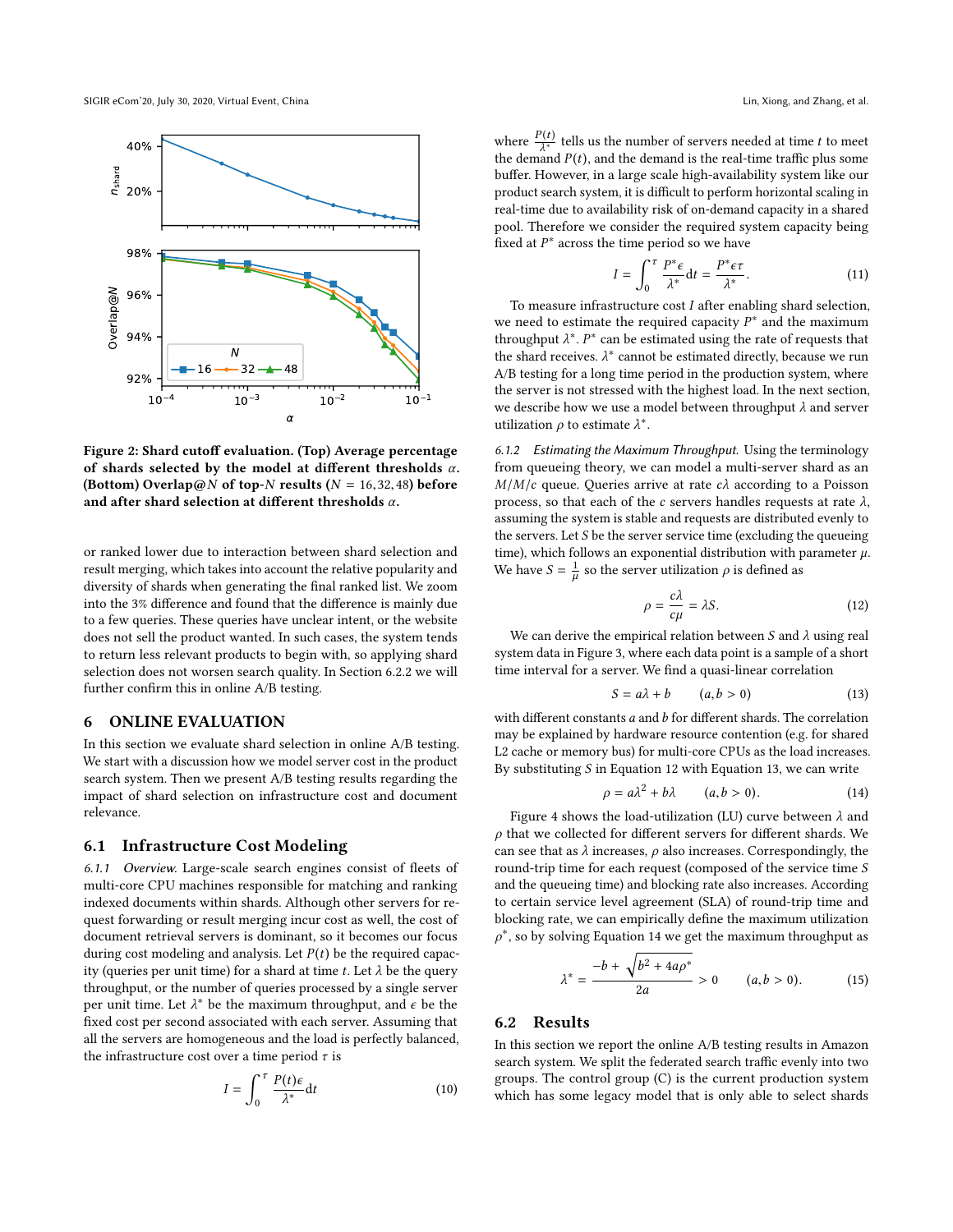<span id="page-5-1"></span>

Figure 2: Shard cutoff evaluation. (Top) Average percentage of shards selected by the model at different thresholds  $\alpha$ . (Bottom) Overlap@N of top-N results ( $N = 16,32,48$ ) before and after shard selection at different thresholds  $\alpha$ .

or ranked lower due to interaction between shard selection and result merging, which takes into account the relative popularity and diversity of shards when generating the final ranked list. We zoom into the 3% difference and found that the difference is mainly due to a few queries. These queries have unclear intent, or the website does not sell the product wanted. In such cases, the system tends to return less relevant products to begin with, so applying shard selection does not worsen search quality. In [Section 6.2.2](#page-6-0) we will further confirm this in online A/B testing.

#### <span id="page-5-0"></span>6 ONLINE EVALUATION

In this section we evaluate shard selection in online A/B testing. We start with a discussion how we model server cost in the product search system. Then we present A/B testing results regarding the impact of shard selection on infrastructure cost and document relevance.

#### 6.1 Infrastructure Cost Modeling

6.1.1 Overview. Large-scale search engines consist of fleets of multi-core CPU machines responsible for matching and ranking indexed documents within shards. Although other servers for request forwarding or result merging incur cost as well, the cost of document retrieval servers is dominant, so it becomes our focus during cost modeling and analysis. Let  $P(t)$  be the required capacity (queries per unit time) for a shard at time  $t$ . Let  $\lambda$  be the query throughput, or the number of queries processed by a single server per unit time. Let  $\lambda^*$  be the maximum throughput, and  $\epsilon$  be the fixed cost per second associated with each server. Assuming that fixed cost per second associated with each server. Assuming that all the servers are homogeneous and the load is perfectly balanced, the infrastructure cost over a time period  $\tau$  is

$$
I = \int_0^{\tau} \frac{P(t)\epsilon}{\lambda^*} dt
$$
 (10)

where  $\frac{P(t)}{\lambda^*}$  tells us the number of servers needed at time t to meet<br>the demand  $P(t)$  and the demand is the real-time traffic plus some the demand  $P(t)$ , and the demand is the real-time traffic plus some buffer. However, in a large scale high-availability system like our buffer. However, in a large scale high-availability system like our product search system, it is difficult to perform horizontal scaling in real-time due to availability risk of on-demand capacity in a shared pool. Therefore we consider the required system capacity being fixed at  $P^*$  across the time period so we have

$$
I = \int_0^{\tau} \frac{P^* \epsilon}{\lambda^*} dt = \frac{P^* \epsilon \tau}{\lambda^*}.
$$
 (11)

To measure infrastructure cost I after enabling shard selection,<br>and the estimate the required cancely  $P^*$  and the maximum we need to estimate the required capacity  $P^*$  and the maximum<br>throughout  $\lambda^*$ ,  $P^*$  can be estimated using the rate of requests that throughput  $\lambda^*$ .  $P^*$  can be estimated using the rate of requests that the shard receives  $\lambda^*$  cannot be estimated directly because we run the shard receives.  $\lambda^*$  cannot be estimated directly, because we run<br>A/B testing for a long time period in the production system, where A/B testing for a long time period in the production system, where the server is not stressed with the highest load. In the next section, we describe how we use a model between throughput  $\lambda$  and server utilization  $\rho$  to estimate  $\lambda^*$ .

6.1.2 Estimating the Maximum Throughput. Using the terminology from queueing theory, we can model a multi-server shard as an  $M/M/c$  queue. Queries arrive at rate  $c\lambda$  according to a Poisson process, so that each of the c servers handles requests at rate  $\lambda$ , assuming the system is stable and requests are distributed evenly to the servers. Let S be the server service time (excluding the queueing time), which follows an exponential distribution with parameter  $\mu$ . We have  $S = \frac{1}{\mu}$  so the server utilization  $\rho$  is defined as

<span id="page-5-2"></span>
$$
\rho = \frac{c\lambda}{c\mu} = \lambda S. \tag{12}
$$

We can derive the empirical relation between S and  $\lambda$  using real<br>tem data in Figure 3, where each data point is a sample of a short system data in [Figure 3,](#page-6-1) where each data point is a sample of a short time interval for a server. We find a quasi-linear correlation

µ

<span id="page-5-3"></span>
$$
S = a\lambda + b \qquad (a, b > 0) \tag{13}
$$

with different constants  $a$  and  $b$  for different shards. The correlation may be explained by hardware resource contention (e.g. for shared L2 cache or memory bus) for multi-core CPUs as the load increases. By substituting S in [Equation 12](#page-5-2) with [Equation 13,](#page-5-3) we can write

<span id="page-5-4"></span>
$$
\rho = a\lambda^2 + b\lambda \qquad (a, b > 0). \tag{14}
$$

[Figure 4](#page-6-2) shows the load-utilization (LU) curve between  $\lambda$  and  $\rho$  that we collected for different servers for different shards. We can see that as  $\lambda$  increases,  $\rho$  also increases. Correspondingly, the round-trip time for each request (composed of the service time S and the queueing time) and blocking rate also increases. According to certain service level agreement (SLA) of round-trip time and blocking rate, we can empirically define the maximum utilization ρ ∗ , so by solving [Equation 14](#page-5-4) we get the maximum throughput as

<span id="page-5-5"></span>
$$
\lambda^* = \frac{-b + \sqrt{b^2 + 4a\rho^*}}{2a} > 0 \qquad (a, b > 0). \tag{15}
$$

# 6.2 Results

In this section we report the online A/B testing results in Amazon search system. We split the federated search traffic evenly into two groups. The control group (C) is the current production system which has some legacy model that is only able to select shards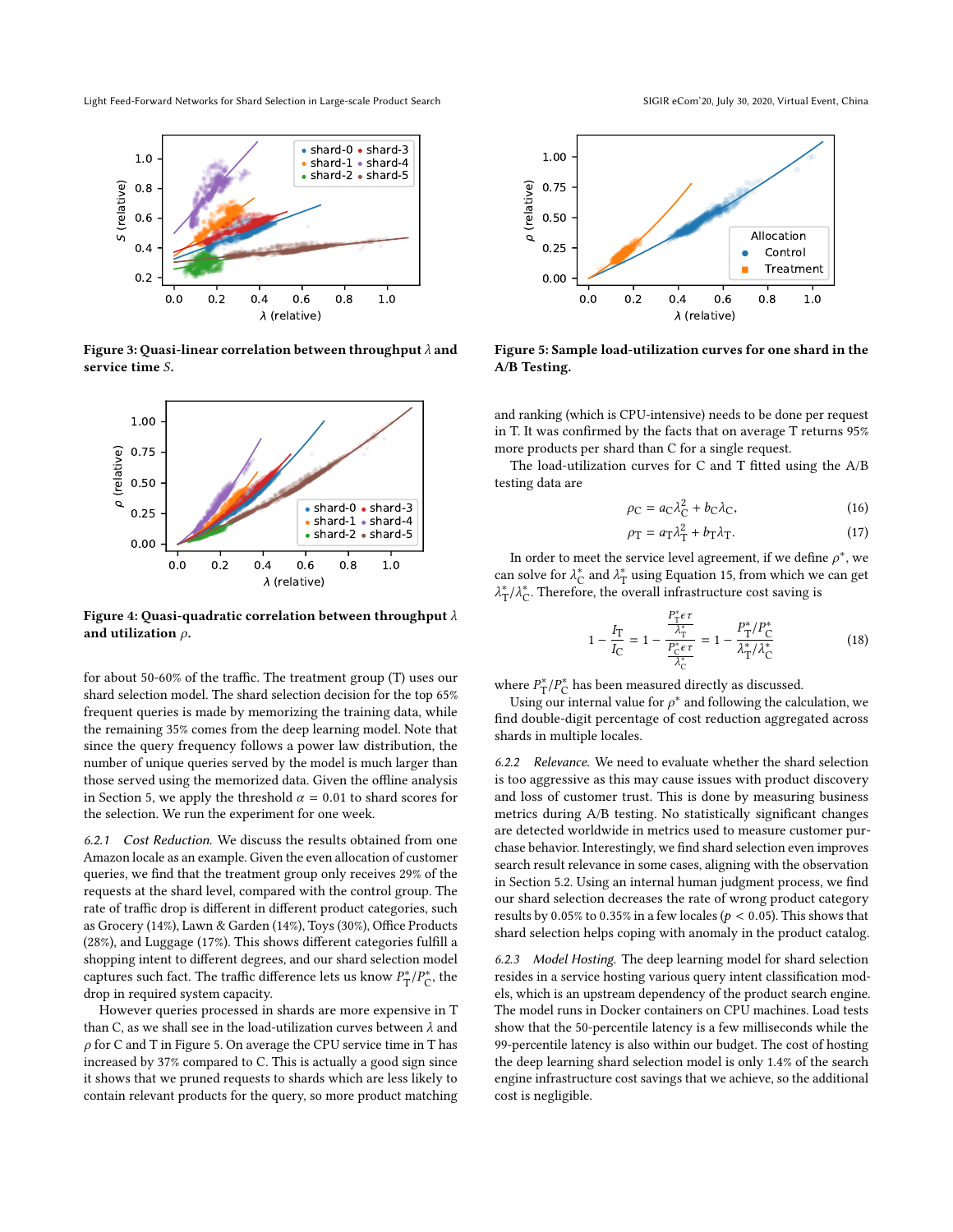Light Feed-Forward Networks for Shard Selection in Large-scale Product Search SIGIR eCom'20, July 30, 2020, Virtual Event, China

<span id="page-6-1"></span>

Figure 3: Quasi-linear correlation between throughput  $\lambda$  and service time S.

<span id="page-6-2"></span>

Figure 4: Quasi-quadratic correlation between throughput  $\lambda$ and utilization  $\rho$ .

for about 50-60% of the traffic. The treatment group (T) uses our shard selection model. The shard selection decision for the top 65% frequent queries is made by memorizing the training data, while the remaining 35% comes from the deep learning model. Note that since the query frequency follows a power law distribution, the number of unique queries served by the model is much larger than those served using the memorized data. Given the offline analysis in [Section 5,](#page-2-1) we apply the threshold  $\alpha = 0.01$  to shard scores for the selection. We run the experiment for one week.

6.2.1 Cost Reduction. We discuss the results obtained from one Amazon locale as an example. Given the even allocation of customer queries, we find that the treatment group only receives 29% of the requests at the shard level, compared with the control group. The rate of traffic drop is different in different product categories, such as Grocery (14%), Lawn & Garden (14%), Toys (30%), Office Products (28%), and Luggage (17%). This shows different categories fulfill a shopping intent to different degrees, and our shard selection model captures such fact. The traffic difference lets us know  $P_{\rm T}^*/P$  $_{\mathrm{C}}^*$ , the drop in required system capacity.

However queries processed in shards are more expensive in T than C, as we shall see in the load-utilization curves between  $\lambda$  and  $\rho$  for C and T in [Figure 5.](#page-6-3) On average the CPU service time in T has increased by 37% compared to C. This is actually a good sign since it shows that we pruned requests to shards which are less likely to contain relevant products for the query, so more product matching

<span id="page-6-3"></span>

Figure 5: Sample load-utilization curves for one shard in the A/B Testing.

and ranking (which is CPU-intensive) needs to be done per request in T. It was confirmed by the facts that on average T returns 95% more products per shard than C for a single request.

The load-utilization curves for C and T fitted using the A/B testing data are

$$
\rho_C = a_C \lambda_C^2 + b_C \lambda_C,\tag{16}
$$

$$
\rho_T = a_T \lambda_T^2 + b_T \lambda_T. \tag{17}
$$

In order to meet the service level agreement, if we define  $\rho^*$ , we also head  $\lambda^*$  and  $\lambda^*$  using Equation 15 from which we can get can solve for  $\lambda_{\text{C}}^*$  and  $\lambda_{\text{T}}^*$  using [Equation 15,](#page-5-5) from which we can get ∗ T /λ ∗ C . Therefore, the overall infrastructure cost saving is

$$
1 - \frac{I_{\rm T}}{I_{\rm C}} = 1 - \frac{\frac{P_{\rm T}^* \epsilon \tau}{\lambda_{\rm T}^*}}{\frac{P_{\rm C}^* \epsilon \tau}{\lambda_{\rm C}^*}} = 1 - \frac{P_{\rm T}^* / P_{\rm C}^*}{\lambda_{\rm T}^* / \lambda_{\rm C}^*}
$$
(18)

where  $P_{\perp}^{*}/P_{\rm C}^{*}$  has been measured directly as discussed.<br>Using our internal value for  $\alpha_{\rm C}^{*}$  and following the cale

Using our internal value for  $\rho^*$  and following the calculation, we<br>d double-digit percentage of cost reduction aggregated across find double-digit percentage of cost reduction aggregated across shards in multiple locales.

<span id="page-6-0"></span>6.2.2 Relevance. We need to evaluate whether the shard selection is too aggressive as this may cause issues with product discovery and loss of customer trust. This is done by measuring business metrics during A/B testing. No statistically significant changes are detected worldwide in metrics used to measure customer purchase behavior. Interestingly, we find shard selection even improves search result relevance in some cases, aligning with the observation in [Section 5.2.](#page-4-3) Using an internal human judgment process, we find our shard selection decreases the rate of wrong product category results by 0.05% to 0.35% in a few locales ( $p < 0.05$ ). This shows that shard selection helps coping with anomaly in the product catalog.

6.2.3 Model Hosting. The deep learning model for shard selection resides in a service hosting various query intent classification models, which is an upstream dependency of the product search engine. The model runs in Docker containers on CPU machines. Load tests show that the 50-percentile latency is a few milliseconds while the 99-percentile latency is also within our budget. The cost of hosting the deep learning shard selection model is only 1.4% of the search engine infrastructure cost savings that we achieve, so the additional cost is negligible.